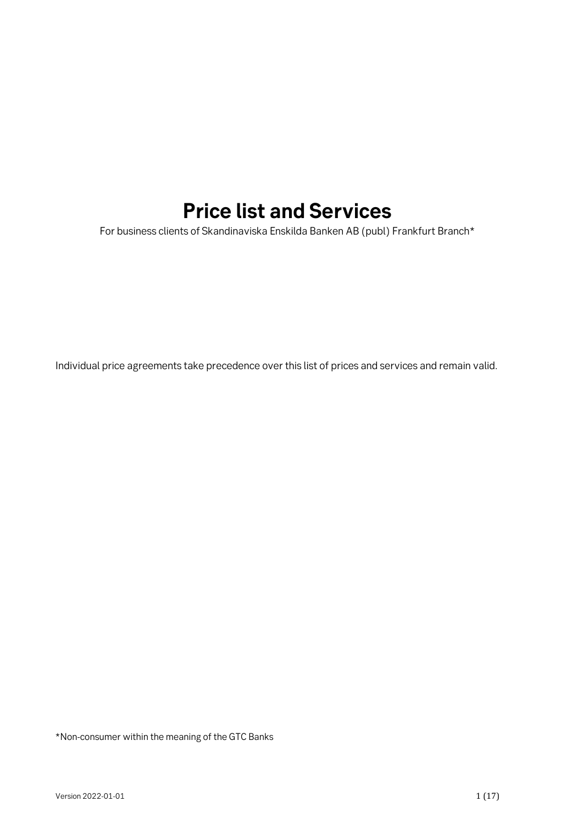# **Price list and Services**

For business clients of Skandinaviska Enskilda Banken AB (publ) Frankfurt Branch\*

Individual price agreements take precedence over this list of prices and services and remain valid.

\*Non-consumer within the meaning of the GTC Banks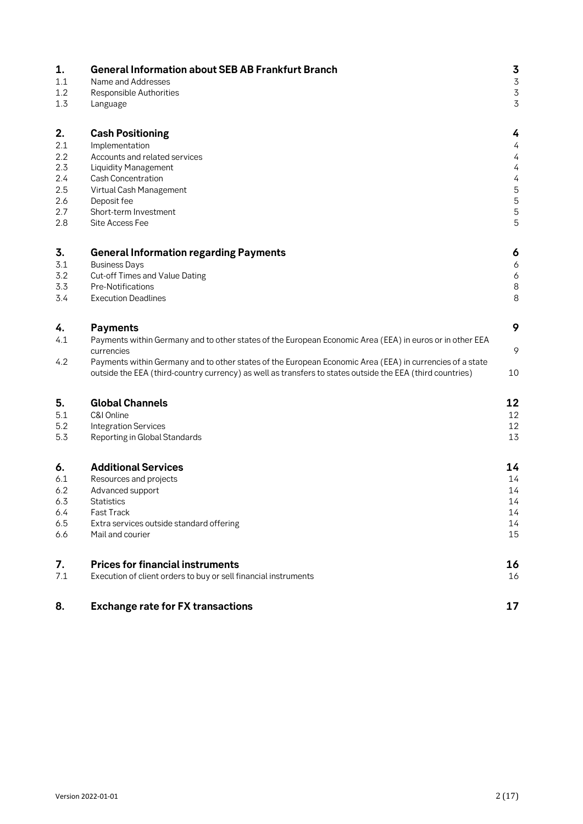| 1.  | <b>General Information about SEB AB Frankfurt Branch</b>                                                                                                                                                              | 3              |
|-----|-----------------------------------------------------------------------------------------------------------------------------------------------------------------------------------------------------------------------|----------------|
| 1.1 | Name and Addresses                                                                                                                                                                                                    | $\overline{3}$ |
| 1.2 | Responsible Authorities                                                                                                                                                                                               | $\overline{3}$ |
| 1.3 | Language                                                                                                                                                                                                              | 3              |
| 2.  | <b>Cash Positioning</b>                                                                                                                                                                                               | 4              |
| 2.1 | Implementation                                                                                                                                                                                                        | 4              |
| 2.2 | Accounts and related services                                                                                                                                                                                         | 4              |
| 2.3 | <b>Liquidity Management</b>                                                                                                                                                                                           | 4              |
| 2.4 | <b>Cash Concentration</b>                                                                                                                                                                                             | 4              |
| 2.5 | Virtual Cash Management                                                                                                                                                                                               | 5              |
| 2.6 | Deposit fee                                                                                                                                                                                                           | 5              |
| 2.7 | Short-term Investment                                                                                                                                                                                                 | 5              |
| 2.8 | Site Access Fee                                                                                                                                                                                                       | 5              |
| 3.  | <b>General Information regarding Payments</b>                                                                                                                                                                         | 6              |
| 3.1 | <b>Business Days</b>                                                                                                                                                                                                  | 6              |
| 3.2 | Cut-off Times and Value Dating                                                                                                                                                                                        | 6              |
| 3.3 | Pre-Notifications                                                                                                                                                                                                     | $\,8\,$        |
| 3.4 | <b>Execution Deadlines</b>                                                                                                                                                                                            | 8              |
| 4.  | <b>Payments</b>                                                                                                                                                                                                       | 9              |
| 4.1 | Payments within Germany and to other states of the European Economic Area (EEA) in euros or in other EEA<br>currencies                                                                                                | 9              |
| 4.2 | Payments within Germany and to other states of the European Economic Area (EEA) in currencies of a state<br>outside the EEA (third-country currency) as well as transfers to states outside the EEA (third countries) | 10             |
| 5.  | <b>Global Channels</b>                                                                                                                                                                                                | 12             |
| 5.1 | C&I Online                                                                                                                                                                                                            | 12             |
| 5.2 | <b>Integration Services</b>                                                                                                                                                                                           | 12             |
| 5.3 | Reporting in Global Standards                                                                                                                                                                                         | 13             |
| 6.  | <b>Additional Services</b>                                                                                                                                                                                            | 14             |
| 6.1 | Resources and projects                                                                                                                                                                                                | 14             |
| 6.2 | Advanced support                                                                                                                                                                                                      | 14             |
| 6.3 | <b>Statistics</b>                                                                                                                                                                                                     | 14             |
| 6.4 | Fast Track                                                                                                                                                                                                            | 14             |
| 6.5 | Extra services outside standard offering                                                                                                                                                                              | 14             |
| 6.6 | Mail and courier                                                                                                                                                                                                      | 15             |
| 7.  | <b>Prices for financial instruments</b>                                                                                                                                                                               | 16             |
| 7.1 | Execution of client orders to buy or sell financial instruments                                                                                                                                                       | 16             |
| 8.  | <b>Exchange rate for FX transactions</b>                                                                                                                                                                              | 17             |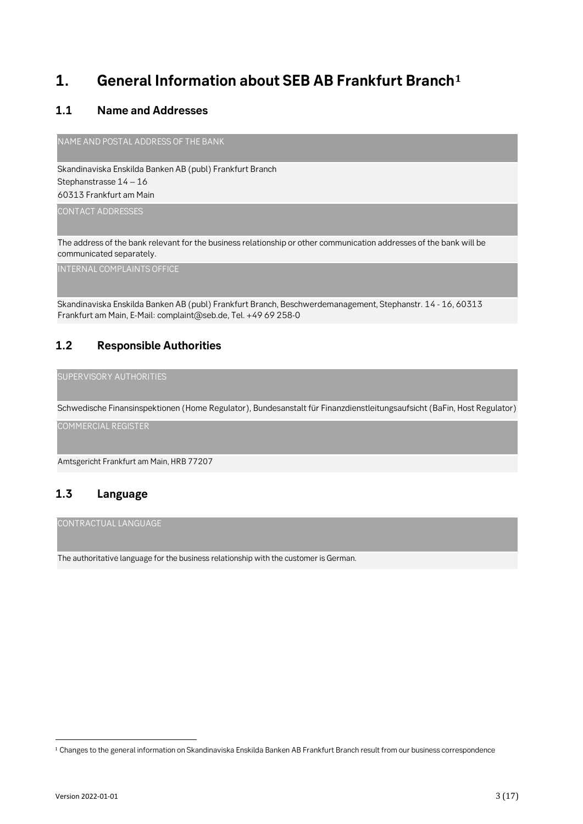## **1. General Information about SEB AB Frankfurt Branch<sup>1</sup>**

#### **1.1 Name and Addresses**

NAME AND POSTAL ADDRESS OF THE BANK

Skandinaviska Enskilda Banken AB (publ) Frankfurt Branch Stephanstrasse 14 – 16 60313 Frankfurt am Main

CONTACT ADDRESSES

The address of the bank relevant for the business relationship or other communication addresses of the bank will be communicated separately.

INTERNAL COMPLAINTS OFFICE

Skandinaviska Enskilda Banken AB (publ) Frankfurt Branch, Beschwerdemanagement, Stephanstr. 14 - 16, 60313 Frankfurt am Main, E-Mail: complaint@seb.de, Tel. +49 69 258-0

#### **1.2 Responsible Authorities**

SUPERVISORY AUTHORITIES

Schwedische Finansinspektionen (Home Regulator), Bundesanstalt für Finanzdienstleitungsaufsicht (BaFin, Host Regulator)

COMMERCIAL REGISTER

Amtsgericht Frankfurt am Main, HRB 77207

### **1.3 Language**

CONTRACTUAL LANGUAGE

The authoritative language for the business relationship with the customer is German.

<sup>1</sup> Changes to the general information on Skandinaviska Enskilda Banken AB Frankfurt Branch result from our business correspondence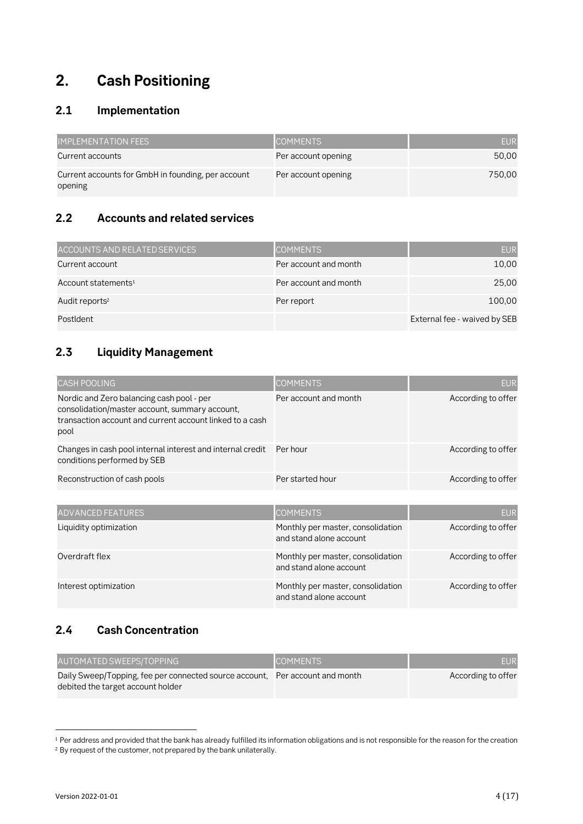## **2. Cash Positioning**

### **2.1 Implementation**

| <b>IMPLEMENTATION FEES</b>                                    | <b>COMMENTS</b>     | <b>EUR</b> |
|---------------------------------------------------------------|---------------------|------------|
| Current accounts                                              | Per account opening | 50,00      |
| Current accounts for GmbH in founding, per account<br>opening | Per account opening | 750.00     |

### **2.2 Accounts and related services**

| ACCOUNTS AND RELATED SERVICES   | <b>COMMENTS</b>       | <b>EUR</b>                   |
|---------------------------------|-----------------------|------------------------------|
| Current account                 | Per account and month | 10,00                        |
| Account statements <sup>1</sup> | Per account and month | 25,00                        |
| Audit reports <sup>2</sup>      | Per report            | 100,00                       |
| PostIdent                       |                       | External fee - waived by SEB |

### **2.3 Liquidity Management**

| <b>CASH POOLING</b>                                                                                                                                             | <b>COMMENTS</b>                                              | <b>EUR</b>         |
|-----------------------------------------------------------------------------------------------------------------------------------------------------------------|--------------------------------------------------------------|--------------------|
| Nordic and Zero balancing cash pool - per<br>consolidation/master account, summary account,<br>transaction account and current account linked to a cash<br>pool | Per account and month                                        | According to offer |
| Changes in cash pool internal interest and internal credit<br>conditions performed by SEB                                                                       | Per hour                                                     | According to offer |
| Reconstruction of cash pools                                                                                                                                    | Per started hour                                             | According to offer |
| <b>ADVANCED FEATURES</b>                                                                                                                                        | <b>COMMENTS</b>                                              | <b>EUR</b>         |
| Liquidity optimization                                                                                                                                          | Monthly per master, consolidation<br>and stand alone account | According to offer |
| Overdraft flex                                                                                                                                                  | Monthly per master, consolidation<br>and stand alone account | According to offer |
| Interest optimization                                                                                                                                           | Monthly per master, consolidation<br>and stand alone account | According to offer |

### **2.4 Cash Concentration**

| AUTOMATED SWEEPS/TOPPING                                                     | <b>COMMENTS</b> | <b>EUR</b>         |
|------------------------------------------------------------------------------|-----------------|--------------------|
| Daily Sweep/Topping, fee per connected source account, Per account and month |                 | According to offer |
| debited the target account holder                                            |                 |                    |

<sup>1</sup> Per address and provided that the bank has already fulfilled its information obligations and is not responsible for the reason for the creation <sup>2</sup> By request of the customer, not prepared by the bank unilaterally.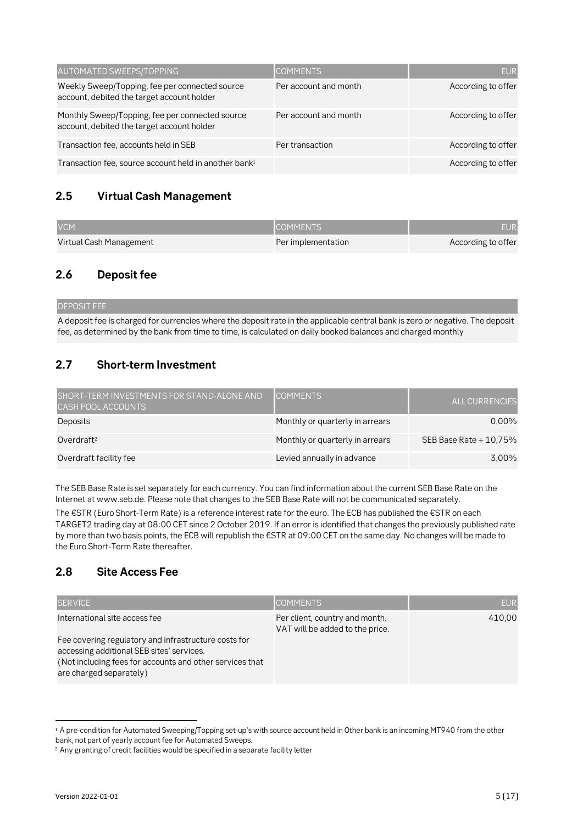| AUTOMATED SWEEPS/TOPPING                                                                      | <b>COMMENTS</b>       | <b>EUR</b>         |
|-----------------------------------------------------------------------------------------------|-----------------------|--------------------|
| Weekly Sweep/Topping, fee per connected source<br>account, debited the target account holder  | Per account and month | According to offer |
| Monthly Sweep/Topping, fee per connected source<br>account, debited the target account holder | Per account and month | According to offer |
| Transaction fee, accounts held in SEB                                                         | Per transaction       | According to offer |
| Transaction fee, source account held in another bank <sup>1</sup>                             |                       | According to offer |

### **2.5 Virtual Cash Management**

| <b>VCM</b>              | <b>COMMENTS</b>    | <b>EUR</b>         |
|-------------------------|--------------------|--------------------|
| Virtual Cash Management | Per implementation | According to offer |

### **2.6 Deposit fee**

DEPOSIT FEE A deposit fee is charged for currencies where the deposit rate in the applicable central bank is zero or negative. The deposit fee, as determined by the bank from time to time, is calculated on daily booked balances and charged monthly

### **2.7 Short-term Investment**

| SHORT-TERM INVESTMENTS FOR STAND-ALONE AND<br><b>CASH POOL ACCOUNTS</b> | <b>COMMENTS</b>                 | <b>ALL CURRENCIES</b>   |
|-------------------------------------------------------------------------|---------------------------------|-------------------------|
| Deposits                                                                | Monthly or quarterly in arrears | $0.00\%$                |
| Overdraft <sup>2</sup>                                                  | Monthly or quarterly in arrears | SEB Base Rate $+10,75%$ |
| Overdraft facility fee                                                  | Levied annually in advance      | 3.00%                   |

The SEB Base Rate is set separately for each currency. You can find information about the current SEB Base Rate on the Internet at www.seb.de. Please note that changes to the SEB Base Rate will not be communicated separately.

The €STR (Euro Short-Term Rate) is a reference interest rate for the euro. The ECB has published the €STR on each TARGET2 trading day at 08:00 CET since 2 October 2019. If an error is identified that changes the previously published rate by more than two basis points, the ECB will republish the €STR at 09:00 CET on the same day. No changes will be made to the Euro Short-Term Rate thereafter.

### **2.8 Site Access Fee**

| <b>SERVICE</b>                                                                                                                                                                                                            | <b>COMMENTS</b>                                                   | <b>EUR</b> |
|---------------------------------------------------------------------------------------------------------------------------------------------------------------------------------------------------------------------------|-------------------------------------------------------------------|------------|
| International site access fee<br>Fee covering regulatory and infrastructure costs for<br>accessing additional SEB sites' services.<br>(Not including fees for accounts and other services that<br>are charged separately) | Per client, country and month.<br>VAT will be added to the price. | 410.00     |

<sup>1</sup> A pre-condition for Automated Sweeping/Topping set-up's with source account held in Other bank is an incoming MT940 from the other bank, not part of yearly account fee for Automated Sweeps.

<sup>&</sup>lt;sup>2</sup> Any granting of credit facilities would be specified in a separate facility letter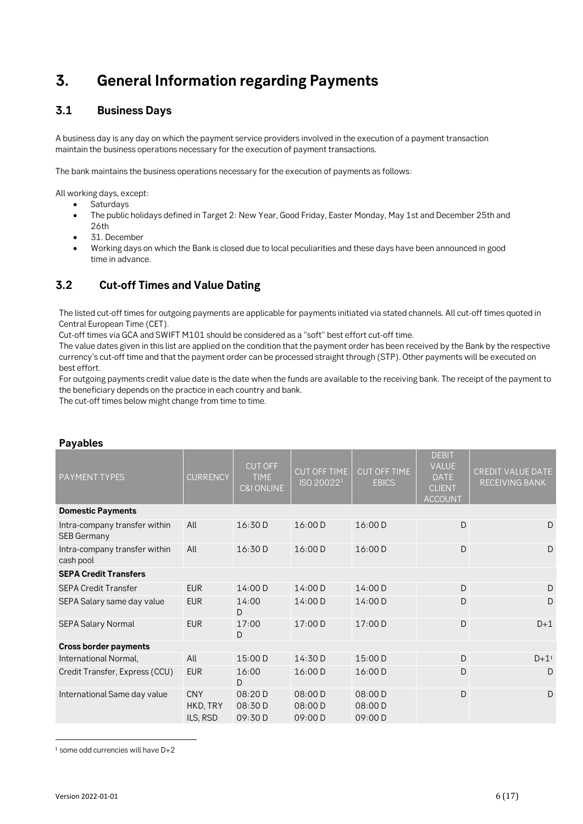## **3. General Information regarding Payments**

### **3.1 Business Days**

A business day is any day on which the payment service providers involved in the execution of a payment transaction maintain the business operations necessary for the execution of payment transactions.

The bank maintains the business operations necessary for the execution of payments as follows:

All working days, except:

- Saturdays
- The public holidays defined in Target 2: New Year, Good Friday, Easter Monday, May 1st and December 25th and 26th
- 31. December
- Working days on which the Bank is closed due to local peculiarities and these days have been announced in good time in advance.

### **3.2 Cut-off Times and Value Dating**

The listed cut-off times for outgoing payments are applicable for payments initiated via stated channels. All cut-off times quoted in Central European Time (CET).

Cut-off times via GCA and SWIFT M101 should be considered as a "soft" best effort cut-off time.

The value dates given in this list are applied on the condition that the payment order has been received by the Bank by the respective currency's cut-off time and that the payment order can be processed straight through (STP). Other payments will be executed on best effort.

For outgoing payments credit value date is the date when the funds are available to the receiving bank. The receipt of the payment to the beneficiary depends on the practice in each country and bank.

The cut-off times below might change from time to time.

| . uyuww                                             |                                    |                                                        |                                        |                                     |                                                                         |                                            |
|-----------------------------------------------------|------------------------------------|--------------------------------------------------------|----------------------------------------|-------------------------------------|-------------------------------------------------------------------------|--------------------------------------------|
| PAYMENT TYPES                                       | <b>CURRENCY</b>                    | <b>CUT OFF</b><br><b>TIME</b><br><b>C&amp;I ONLINE</b> | CUT OFF TIME<br>ISO 20022 <sup>1</sup> | <b>CUT OFF TIME</b><br><b>EBICS</b> | <b>DEBIT</b><br>VALUE<br><b>DATE</b><br><b>CLIENT</b><br><b>ACCOUNT</b> | CREDIT VALUE DATE<br><b>RECEIVING BANK</b> |
| <b>Domestic Payments</b>                            |                                    |                                                        |                                        |                                     |                                                                         |                                            |
| Intra-company transfer within<br><b>SEB Germany</b> | All                                | 16:30D                                                 | 16:00 D                                | 16:00 D                             | D                                                                       | D                                          |
| Intra-company transfer within<br>cash pool          | All                                | 16:30D                                                 | 16:00 D                                | 16:00 D                             | D                                                                       | D                                          |
| <b>SEPA Credit Transfers</b>                        |                                    |                                                        |                                        |                                     |                                                                         |                                            |
| <b>SEPA Credit Transfer</b>                         | <b>EUR</b>                         | 14:00 D                                                | 14:00 D                                | 14:00 D                             | D                                                                       | D                                          |
| SEPA Salary same day value                          | <b>EUR</b>                         | 14:00<br>D                                             | 14:00 D                                | 14:00 D                             | D                                                                       | D                                          |
| <b>SEPA Salary Normal</b>                           | <b>EUR</b>                         | 17:00<br>D                                             | 17:00 D                                | 17:00 D                             | D                                                                       | $D+1$                                      |
| <b>Cross border payments</b>                        |                                    |                                                        |                                        |                                     |                                                                         |                                            |
| International Normal,                               | All                                | 15:00 D                                                | 14:30 D                                | 15:00 D                             | $\mathsf{D}$                                                            | $D + 1^1$                                  |
| Credit Transfer, Express (CCU)                      | <b>EUR</b>                         | 16:00<br>D                                             | 16:00 D                                | 16:00 D                             | D                                                                       | D                                          |
| International Same day value                        | <b>CNY</b><br>HKD, TRY<br>ILS, RSD | 08:20D<br>08:30 D<br>09:30D                            | 08:00 D<br>08:00 D<br>09:00 D          | 08:00D<br>08:00 D<br>09:00 D        | D                                                                       | D                                          |

#### **Payables**

 $1$  some odd currencies will have  $D+2$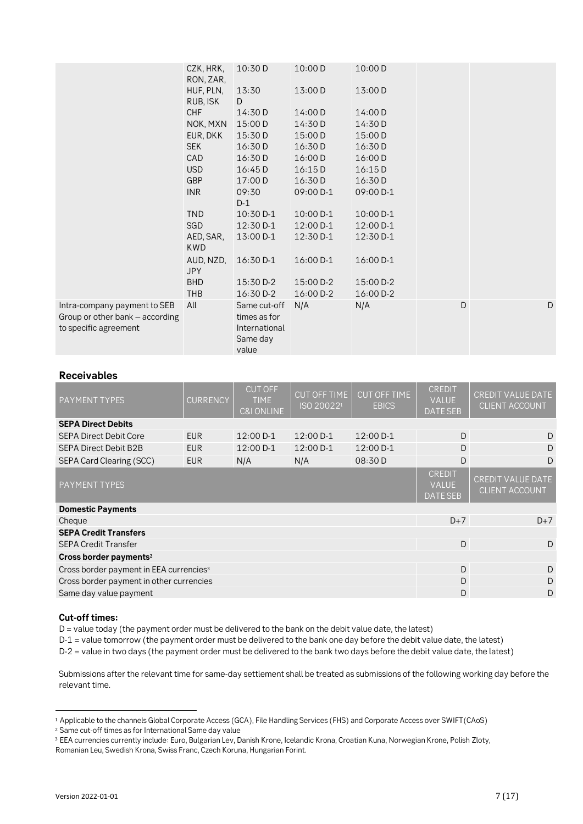| CZK, HRK,  | 10:30 D                                                                                                                                                                                                              | 10:00 D                                                                                                                                                                                                                     | 10:00 D                                                                                                                                                         |                                                                                                                                                               |   |
|------------|----------------------------------------------------------------------------------------------------------------------------------------------------------------------------------------------------------------------|-----------------------------------------------------------------------------------------------------------------------------------------------------------------------------------------------------------------------------|-----------------------------------------------------------------------------------------------------------------------------------------------------------------|---------------------------------------------------------------------------------------------------------------------------------------------------------------|---|
| HUF, PLN,  | 13:30                                                                                                                                                                                                                | 13:00 D                                                                                                                                                                                                                     | 13:00 D                                                                                                                                                         |                                                                                                                                                               |   |
|            |                                                                                                                                                                                                                      |                                                                                                                                                                                                                             |                                                                                                                                                                 |                                                                                                                                                               |   |
|            |                                                                                                                                                                                                                      |                                                                                                                                                                                                                             |                                                                                                                                                                 |                                                                                                                                                               |   |
|            |                                                                                                                                                                                                                      |                                                                                                                                                                                                                             |                                                                                                                                                                 |                                                                                                                                                               |   |
|            |                                                                                                                                                                                                                      |                                                                                                                                                                                                                             |                                                                                                                                                                 |                                                                                                                                                               |   |
|            |                                                                                                                                                                                                                      |                                                                                                                                                                                                                             |                                                                                                                                                                 |                                                                                                                                                               |   |
|            |                                                                                                                                                                                                                      |                                                                                                                                                                                                                             |                                                                                                                                                                 |                                                                                                                                                               |   |
|            |                                                                                                                                                                                                                      |                                                                                                                                                                                                                             |                                                                                                                                                                 |                                                                                                                                                               |   |
|            |                                                                                                                                                                                                                      |                                                                                                                                                                                                                             |                                                                                                                                                                 |                                                                                                                                                               |   |
|            |                                                                                                                                                                                                                      |                                                                                                                                                                                                                             |                                                                                                                                                                 |                                                                                                                                                               |   |
|            |                                                                                                                                                                                                                      |                                                                                                                                                                                                                             |                                                                                                                                                                 |                                                                                                                                                               |   |
|            |                                                                                                                                                                                                                      |                                                                                                                                                                                                                             |                                                                                                                                                                 |                                                                                                                                                               |   |
|            |                                                                                                                                                                                                                      |                                                                                                                                                                                                                             |                                                                                                                                                                 |                                                                                                                                                               |   |
| <b>KWD</b> |                                                                                                                                                                                                                      |                                                                                                                                                                                                                             |                                                                                                                                                                 |                                                                                                                                                               |   |
| AUD, NZD,  | 16:30 D-1                                                                                                                                                                                                            | 16:00 D-1                                                                                                                                                                                                                   | 16:00 D-1                                                                                                                                                       |                                                                                                                                                               |   |
|            |                                                                                                                                                                                                                      |                                                                                                                                                                                                                             |                                                                                                                                                                 |                                                                                                                                                               |   |
|            |                                                                                                                                                                                                                      |                                                                                                                                                                                                                             |                                                                                                                                                                 |                                                                                                                                                               |   |
|            |                                                                                                                                                                                                                      |                                                                                                                                                                                                                             |                                                                                                                                                                 |                                                                                                                                                               | D |
|            |                                                                                                                                                                                                                      |                                                                                                                                                                                                                             |                                                                                                                                                                 |                                                                                                                                                               |   |
|            |                                                                                                                                                                                                                      |                                                                                                                                                                                                                             |                                                                                                                                                                 |                                                                                                                                                               |   |
|            |                                                                                                                                                                                                                      |                                                                                                                                                                                                                             |                                                                                                                                                                 |                                                                                                                                                               |   |
|            | value                                                                                                                                                                                                                |                                                                                                                                                                                                                             |                                                                                                                                                                 |                                                                                                                                                               |   |
|            | RON, ZAR,<br>RUB, ISK<br>CHF<br>NOK, MXN<br>EUR, DKK<br><b>SEK</b><br><b>CAD</b><br><b>USD</b><br><b>GBP</b><br><b>INR</b><br><b>TND</b><br><b>SGD</b><br>AED, SAR,<br><b>JPY</b><br><b>BHD</b><br><b>THB</b><br>All | D<br>14:30 D<br>15:00 D<br>15:30 D<br>16:30D<br>16:30D<br>16:45D<br>17:00 D<br>09:30<br>$D-1$<br>10:30 D-1<br>12:30 D-1<br>13:00 D-1<br>15:30 D-2<br>16:30 D-2<br>Same cut-off<br>times as for<br>International<br>Same day | 14:00 D<br>14:30 D<br>15:00 D<br>16:30 D<br>16:00 D<br>16:15D<br>16:30 D<br>09:00 D-1<br>$10:00 D-1$<br>12:00 D-1<br>12:30 D-1<br>15:00 D-2<br>16:00 D-2<br>N/A | 14:00 D<br>14:30 D<br>15:00 D<br>16:30 D<br>16:00 D<br>16:15D<br>16:30 D<br>09:00 D-1<br>10:00 D-1<br>12:00 D-1<br>12:30 D-1<br>15:00 D-2<br>16:00 D-2<br>N/A | D |

#### **Receivables**

| <b>PAYMENT TYPES</b>                                | CURRENCY   | <b>CUT OFF</b><br><b>TIME</b><br><b>C&amp;I ONLINE</b> | <b>CUT OFF TIME</b><br>ISO 200221 | <b>CUT OFF TIME</b><br><b>EBICS</b> | <b>CREDIT</b><br><b>VALUE</b><br><b>DATE SEB</b> | <b>CREDIT VALUE DATE</b><br><b>CLIENT ACCOUNT</b> |
|-----------------------------------------------------|------------|--------------------------------------------------------|-----------------------------------|-------------------------------------|--------------------------------------------------|---------------------------------------------------|
| <b>SEPA Direct Debits</b>                           |            |                                                        |                                   |                                     |                                                  |                                                   |
| <b>SEPA Direct Debit Core</b>                       | <b>EUR</b> | 12:00 D-1                                              | $12:00 D-1$                       | 12:00 D-1                           | D                                                | D                                                 |
| <b>SEPA Direct Debit B2B</b>                        | <b>EUR</b> | 12:00 D-1                                              | $12:00 D-1$                       | 12:00 D-1                           | D                                                | D                                                 |
| SEPA Card Clearing (SCC)                            | <b>EUR</b> | N/A                                                    | N/A                               | 08:30 D                             | D                                                | D                                                 |
| PAYMENT TYPES                                       |            |                                                        |                                   |                                     |                                                  | <b>CREDIT VALUE DATE</b><br><b>CLIENT ACCOUNT</b> |
| <b>Domestic Payments</b>                            |            |                                                        |                                   |                                     |                                                  |                                                   |
| Cheque                                              |            |                                                        |                                   |                                     | $D+7$                                            | $D+7$                                             |
| <b>SEPA Credit Transfers</b>                        |            |                                                        |                                   |                                     |                                                  |                                                   |
| <b>SEPA Credit Transfer</b>                         |            |                                                        |                                   |                                     | D                                                | D                                                 |
| Cross border payments <sup>2</sup>                  |            |                                                        |                                   |                                     |                                                  |                                                   |
| Cross border payment in EEA currencies <sup>3</sup> |            |                                                        |                                   |                                     | D                                                | D                                                 |
| Cross border payment in other currencies            |            |                                                        |                                   |                                     |                                                  | D                                                 |
| Same day value payment                              |            |                                                        |                                   |                                     |                                                  | D                                                 |

#### **Cut-off times:**

D = value today (the payment order must be delivered to the bank on the debit value date, the latest)

D-1 = value tomorrow (the payment order must be delivered to the bank one day before the debit value date, the latest)

D-2 = value in two days (the payment order must be delivered to the bank two days before the debit value date, the latest)

Submissions after the relevant time for same-day settlement shall be treated as submissions of the following working day before the relevant time.

<sup>1</sup> Applicable to the channels Global Corporate Access (GCA), File Handling Services (FHS) and Corporate Access over SWIFT(CAoS)

<sup>2</sup> Same cut-off times as for International Same day value

<sup>3</sup> EEA currencies currently include: Euro, Bulgarian Lev, Danish Krone, Icelandic Krona, Croatian Kuna, Norwegian Krone, Polish Zloty,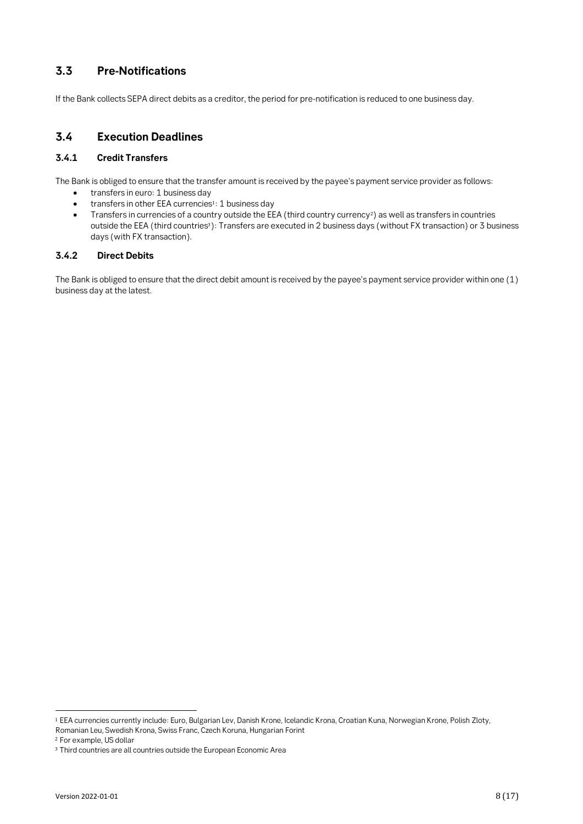### **3.3 Pre-Notifications**

If the Bank collects SEPA direct debits as a creditor, the period for pre-notification is reduced to one business day.

#### **3.4 Execution Deadlines**

#### **3.4.1 Credit Transfers**

The Bank is obliged to ensure that the transfer amount is received by the payee's payment service provider as follows:

- transfers in euro: 1 business day
- transfers in other EEA currencies<sup>1</sup>: 1 business day
- Transfers in currencies of a country outside the EEA (third country currency2) as well as transfers in countries outside the EEA (third countries<sup>3</sup>): Transfers are executed in 2 business days (without FX transaction) or 3 business days (with FX transaction).

#### **3.4.2 Direct Debits**

The Bank is obliged to ensure that the direct debit amount is received by the payee's payment service provider within one (1) business day at the latest.

<sup>1</sup> EEA currencies currently include: Euro, Bulgarian Lev, Danish Krone, Icelandic Krona, Croatian Kuna, Norwegian Krone, Polish Zloty, Romanian Leu, Swedish Krona, Swiss Franc, Czech Koruna, Hungarian Forint

<sup>2</sup> For example, US dollar

<sup>&</sup>lt;sup>3</sup> Third countries are all countries outside the European Economic Area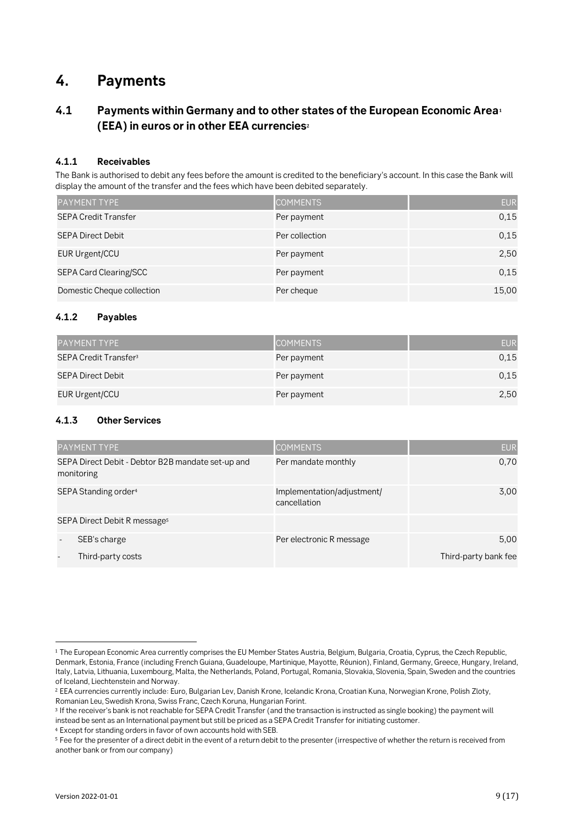## **4. Payments**

### **4.1 Payments within Germany and to other states of the European Economic Area<sup>1</sup> (EEA) in euros or in other EEA currencies<sup>2</sup>**

#### **4.1.1 Receivables**

The Bank is authorised to debit any fees before the amount is credited to the beneficiary's account. In this case the Bank will display the amount of the transfer and the fees which have been debited separately.

| <b>PAYMENT TYPE</b>         | <b>COMMENTS</b> | <b>EUR</b> |
|-----------------------------|-----------------|------------|
| <b>SEPA Credit Transfer</b> | Per payment     | 0.15       |
| <b>SEPA Direct Debit</b>    | Per collection  | 0.15       |
| EUR Urgent/CCU              | Per payment     | 2,50       |
| SEPA Card Clearing/SCC      | Per payment     | 0.15       |
| Domestic Cheque collection  | Per cheque      | 15,00      |

#### **4.1.2 Payables**

| <b>PAYMENT TYPE</b>               | <b>COMMENTS</b> | <b>EUR</b> |
|-----------------------------------|-----------------|------------|
| SEPA Credit Transfer <sup>3</sup> | Per payment     | 0.15       |
| SEPA Direct Debit                 | Per payment     | 0.15       |
| EUR Urgent/CCU                    | Per payment     | 2,50       |

#### **4.1.3 Other Services**

|            | <b>PAYMENT TYPE</b>                               | <b>COMMENTS</b>                            | <b>EUR</b>           |
|------------|---------------------------------------------------|--------------------------------------------|----------------------|
| monitoring | SEPA Direct Debit - Debtor B2B mandate set-up and | Per mandate monthly                        | 0,70                 |
|            | SEPA Standing order <sup>4</sup>                  | Implementation/adjustment/<br>cancellation | 3,00                 |
|            | SEPA Direct Debit R message <sup>5</sup>          |                                            |                      |
|            | SEB's charge                                      | Per electronic R message                   | 5,00                 |
|            | Third-party costs                                 |                                            | Third-party bank fee |

<sup>1</sup> The European Economic Area currently comprises the EU Member States Austria, Belgium, Bulgaria, Croatia, Cyprus, the Czech Republic, Denmark, Estonia, France (including French Guiana, Guadeloupe, Martinique, Mayotte, Réunion), Finland, Germany, Greece, Hungary, Ireland, Italy, Latvia, Lithuania, Luxembourg, Malta, the Netherlands, Poland, Portugal, Romania, Slovakia, Slovenia, Spain, Sweden and the countries of Iceland, Liechtenstein and Norway.

<sup>&</sup>lt;sup>2</sup> EEA currencies currently include: Euro, Bulgarian Lev, Danish Krone, Icelandic Krona, Croatian Kuna, Norwegian Krone, Polish Zloty, Romanian Leu, Swedish Krona, Swiss Franc, Czech Koruna, Hungarian Forint.

<sup>3</sup> If the receiver's bank is not reachable for SEPA Credit Transfer (and the transaction is instructed as single booking) the payment will instead be sent as an International payment but still be priced as a SEPA Credit Transfer for initiating customer.

<sup>4</sup> Except for standing orders in favor of own accounts hold with SEB.

<sup>5</sup> Fee for the presenter of a direct debit in the event of a return debit to the presenter (irrespective of whether the return is received from another bank or from our company)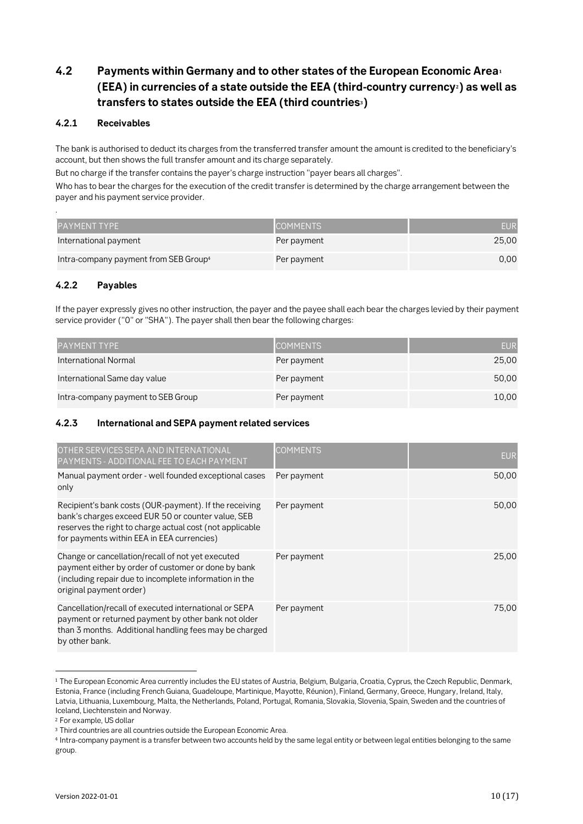### **4.2 Payments within Germany and to other states of the European Economic Area<sup>1</sup> (EEA) in currencies of a state outside the EEA (third-country currency2) as well as transfers to states outside the EEA (third countries3)**

#### **4.2.1 Receivables**

The bank is authorised to deduct its charges from the transferred transfer amount the amount is credited to the beneficiary's account, but then shows the full transfer amount and its charge separately.

But no charge if the transfer contains the payer's charge instruction "payer bears all charges".

Who has to bear the charges for the execution of the credit transfer is determined by the charge arrangement between the payer and his payment service provider.

| <b>PAYMENT TYPE</b>                               | <b>COMMENTS</b> | <b>EUR</b> |
|---------------------------------------------------|-----------------|------------|
| International payment                             | Per payment     | 25,00      |
| Intra-company payment from SEB Group <sup>4</sup> | Per payment     | 0.00       |

#### **4.2.2 Payables**

.

If the payer expressly gives no other instruction, the payer and the payee shall each bear the charges levied by their payment service provider ("0" or "SHA"). The payer shall then bear the following charges:

| <b>PAYMENT TYPE</b>                | <b>COMMENTS</b> | EUR   |
|------------------------------------|-----------------|-------|
| International Normal               | Per payment     | 25,00 |
| International Same day value       | Per payment     | 50,00 |
| Intra-company payment to SEB Group | Per payment     | 10,00 |

#### **4.2.3 International and SEPA payment related services**

| OTHER SERVICES SEPA AND INTERNATIONAL<br>PAYMENTS - ADDITIONAL FEE TO EACH PAYMENT                                                                                                                                     | <b>COMMENTS</b> | <b>EUR</b> |
|------------------------------------------------------------------------------------------------------------------------------------------------------------------------------------------------------------------------|-----------------|------------|
| Manual payment order - well founded exceptional cases<br>only                                                                                                                                                          | Per payment     | 50,00      |
| Recipient's bank costs (OUR-payment). If the receiving<br>bank's charges exceed EUR 50 or counter value, SEB<br>reserves the right to charge actual cost (not applicable<br>for payments within EEA in EEA currencies) | Per payment     | 50,00      |
| Change or cancellation/recall of not yet executed<br>payment either by order of customer or done by bank<br>(including repair due to incomplete information in the<br>original payment order)                          | Per payment     | 25,00      |
| Cancellation/recall of executed international or SEPA<br>payment or returned payment by other bank not older<br>than 3 months. Additional handling fees may be charged<br>by other bank.                               | Per payment     | 75,00      |

<sup>&</sup>lt;sup>1</sup> The European Economic Area currently includes the EU states of Austria, Belgium, Bulgaria, Croatia, Cyprus, the Czech Republic, Denmark, Estonia, France (including French Guiana, Guadeloupe, Martinique, Mayotte, Réunion), Finland, Germany, Greece, Hungary, Ireland, Italy, Latvia, Lithuania, Luxembourg, Malta, the Netherlands, Poland, Portugal, Romania, Slovakia, Slovenia, Spain, Sweden and the countries of Iceland, Liechtenstein and Norway.

<sup>2</sup> For example, US dollar

<sup>&</sup>lt;sup>3</sup> Third countries are all countries outside the European Economic Area.

<sup>4</sup> Intra-company payment is a transfer between two accounts held by the same legal entity or between legal entities belonging to the same group.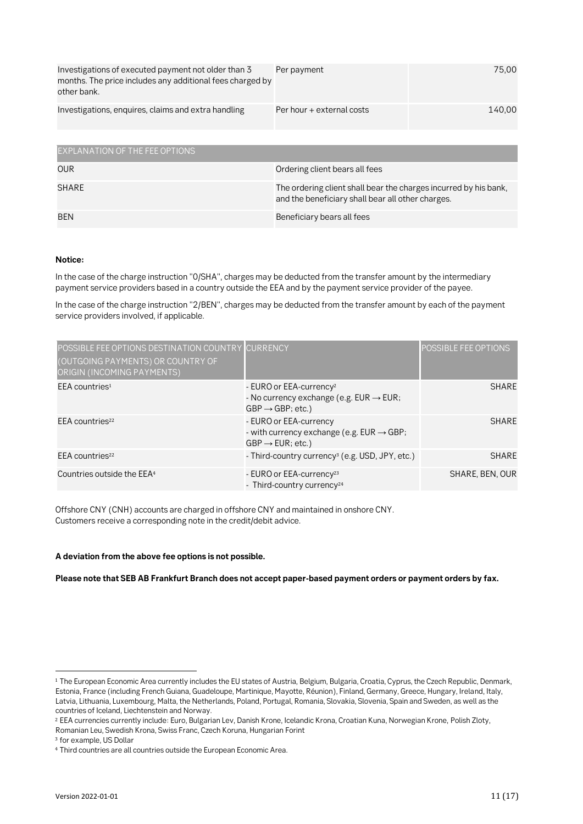| Investigations of executed payment not older than 3<br>months. The price includes any additional fees charged by<br>other bank. | Per payment               | 75.00  |
|---------------------------------------------------------------------------------------------------------------------------------|---------------------------|--------|
| Investigations, enquires, claims and extra handling                                                                             | Per hour + external costs | 140.00 |

| EXPLANATION OF THE FEE OPTIONS |                                                                                                                       |
|--------------------------------|-----------------------------------------------------------------------------------------------------------------------|
| <b>OUR</b>                     | Ordering client bears all fees                                                                                        |
| SHARE                          | The ordering client shall bear the charges incurred by his bank,<br>and the beneficiary shall bear all other charges. |
| BEN                            | Beneficiary bears all fees                                                                                            |

#### **Notice:**

In the case of the charge instruction "0/SHA", charges may be deducted from the transfer amount by the intermediary payment service providers based in a country outside the EEA and by the payment service provider of the payee.

In the case of the charge instruction "2/BEN", charges may be deducted from the transfer amount by each of the payment service providers involved, if applicable.

| POSSIBLE FEE OPTIONS DESTINATION COUNTRY<br>(OUTGOING PAYMENTS) OR COUNTRY OF<br>ORIGIN (INCOMING PAYMENTS) | <b>CURRENCY</b>                                                                                                              | POSSIBLE FEE OPTIONS |
|-------------------------------------------------------------------------------------------------------------|------------------------------------------------------------------------------------------------------------------------------|----------------------|
| $EEA$ countries <sup>1</sup>                                                                                | - EURO or EEA-currency <sup>2</sup><br>- No currency exchange (e.g. $EUR \rightarrow EUR$ ;<br>$GBP \rightarrow GBP$ ; etc.) | <b>SHARE</b>         |
| EEA countries <sup>22</sup>                                                                                 | - EURO or EEA-currency<br>- with currency exchange (e.g. $EUR \rightarrow GBP$ ;<br>$GBP \rightarrow EUR$ ; etc.)            | <b>SHARE</b>         |
| EEA countries <sup>22</sup>                                                                                 | - Third-country currency <sup>3</sup> (e.g. USD, JPY, etc.)                                                                  | <b>SHARE</b>         |
| Countries outside the EEA <sup>4</sup>                                                                      | - EURO or EEA-currency <sup>23</sup><br>- Third-country currency <sup>24</sup>                                               | SHARE, BEN, OUR      |

<span id="page-10-0"></span>Offshore CNY (CNH) accounts are charged in offshore CNY and maintained in onshore CNY. Customers receive a corresponding note in the credit/debit advice.

#### **A deviation from the above fee options is not possible.**

**Please note that SEB AB Frankfurt Branch does not accept paper-based payment orders or payment orders by fax.**

<sup>&</sup>lt;sup>1</sup> The European Economic Area currently includes the EU states of Austria, Belgium, Bulgaria, Croatia, Cyprus, the Czech Republic, Denmark, Estonia, France (including French Guiana, Guadeloupe, Martinique, Mayotte, Réunion), Finland, Germany, Greece, Hungary, Ireland, Italy, Latvia, Lithuania, Luxembourg, Malta, the Netherlands, Poland, Portugal, Romania, Slovakia, Slovenia, Spain and Sweden, as well as the countries of Iceland, Liechtenstein and Norway.

<sup>2</sup> EEA currencies currently include: Euro, Bulgarian Lev, Danish Krone, Icelandic Krona, Croatian Kuna, Norwegian Krone, Polish Zloty, Romanian Leu, Swedish Krona, Swiss Franc, Czech Koruna, Hungarian Forint

<sup>3</sup> for example, US Dollar

<sup>4</sup> Third countries are all countries outside the European Economic Area.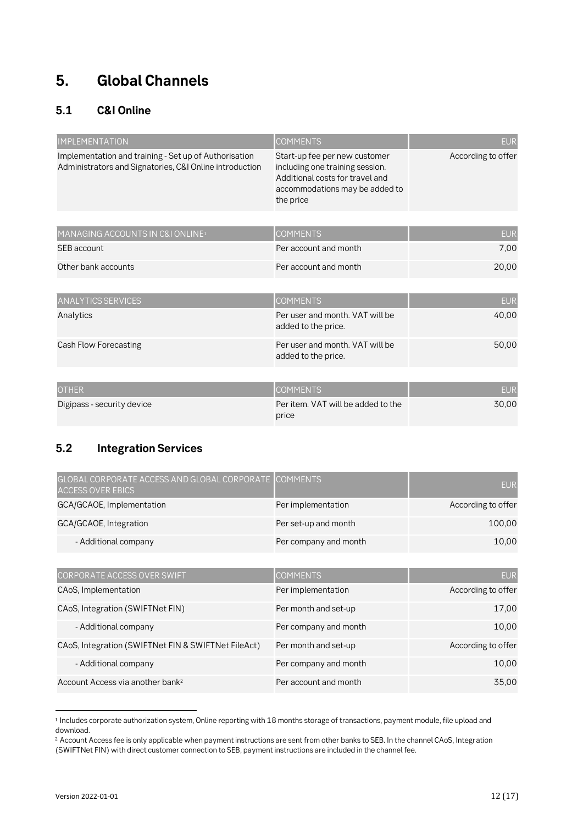## **5. Global Channels**

### **5.1 C&I Online**

| <b>IMPLEMENTATION</b>                                                                                            | <b>COMMENTS</b>                                                                                                                                    | <b>EUR</b>         |
|------------------------------------------------------------------------------------------------------------------|----------------------------------------------------------------------------------------------------------------------------------------------------|--------------------|
| Implementation and training - Set up of Authorisation<br>Administrators and Signatories, C&I Online introduction | Start-up fee per new customer<br>including one training session.<br>Additional costs for travel and<br>accommodations may be added to<br>the price | According to offer |
| MANAGING ACCOUNTS IN C&I ONLINE <sup>1</sup>                                                                     | <b>COMMENTS</b>                                                                                                                                    | <b>EUR</b>         |
| SEB account                                                                                                      | Per account and month                                                                                                                              | 7,00               |
| Other bank accounts                                                                                              | Per account and month                                                                                                                              | 20,00              |
|                                                                                                                  |                                                                                                                                                    |                    |
| <b>ANALYTICS SERVICES</b>                                                                                        | <b>COMMENTS</b>                                                                                                                                    | <b>EUR</b>         |
| Analytics                                                                                                        | Per user and month, VAT will be<br>added to the price.                                                                                             | 40,00              |
| Cash Flow Forecasting                                                                                            | Per user and month. VAT will be<br>added to the price.                                                                                             | 50,00              |
|                                                                                                                  |                                                                                                                                                    |                    |
| <b>OTHER</b>                                                                                                     | <b>COMMENTS</b>                                                                                                                                    | <b>EUR</b>         |
| Digipass - security device                                                                                       | Per item. VAT will be added to the<br>price                                                                                                        | 30,00              |

### **5.2 Integration Services**

| GLOBAL CORPORATE ACCESS AND GLOBAL CORPORATE COMMENTS<br><b>ACCESS OVER EBICS</b> |                       | <b>EUR</b>         |
|-----------------------------------------------------------------------------------|-----------------------|--------------------|
| GCA/GCAOE, Implementation                                                         | Per implementation    | According to offer |
| GCA/GCAOE, Integration                                                            | Per set-up and month  | 100,00             |
| - Additional company                                                              | Per company and month | 10,00              |
|                                                                                   |                       |                    |
| CORPORATE ACCESS OVER SWIFT                                                       | <b>COMMENTS</b>       | <b>EUR</b>         |
| CA <sub>o</sub> S, Implementation                                                 | Per implementation    | According to offer |
| CAoS, Integration (SWIFTNet FIN)                                                  | Per month and set-up  | 17,00              |
| - Additional company                                                              | Per company and month | 10,00              |
| CAoS, Integration (SWIFTNet FIN & SWIFTNet FileAct)                               | Per month and set-up  | According to offer |
| - Additional company                                                              | Per company and month | 10,00              |
| Account Access via another bank <sup>2</sup>                                      | Per account and month | 35,00              |

<sup>1</sup> Includes corporate authorization system, Online reporting with 18 months storage of transactions, payment module, file upload and download.

<sup>&</sup>lt;sup>2</sup> Account Access fee is only applicable when payment instructions are sent from other banks to SEB. In the channel CAoS, Integration (SWIFTNet FIN) with direct customer connection to SEB, payment instructions are included in the channel fee.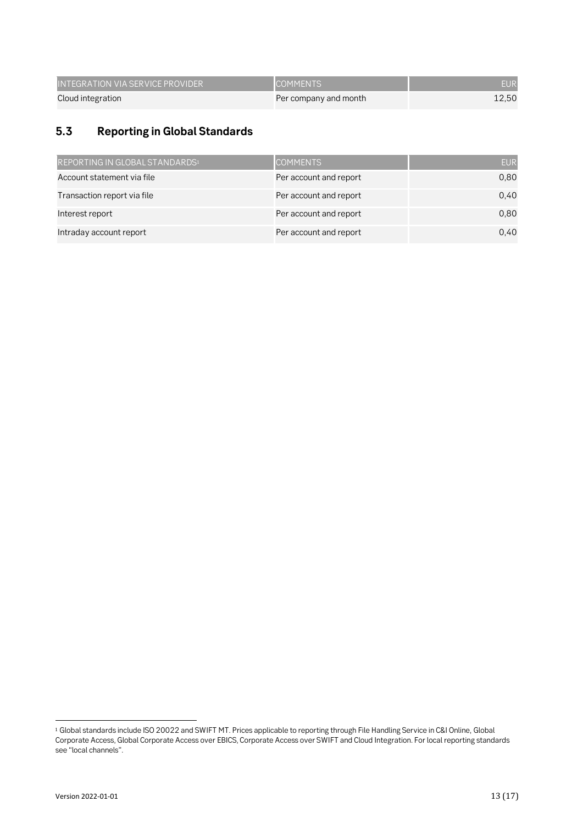| INTEGRATION VIA SERVICE PROVIDER ' | <b>ICOMMENTS</b>      | EUR   |
|------------------------------------|-----------------------|-------|
| Cloud integration                  | Per company and month | 12.50 |

### **5.3 Reporting in Global Standards**

| REPORTING IN GLOBAL STANDARDS <sup>1</sup> | <b>COMMENTS</b>        | <b>EUR</b> |
|--------------------------------------------|------------------------|------------|
| Account statement via file                 | Per account and report | 0,80       |
| Transaction report via file                | Per account and report | 0.40       |
| Interest report                            | Per account and report | 0,80       |
| Intraday account report                    | Per account and report | 0.40       |

<sup>1</sup> Global standards include ISO 20022 and SWIFT MT. Prices applicable to reporting through File Handling Service in C&I Online, Global Corporate Access, Global Corporate Access over EBICS, Corporate Access over SWIFT and Cloud Integration. For local reporting standards see "local channels".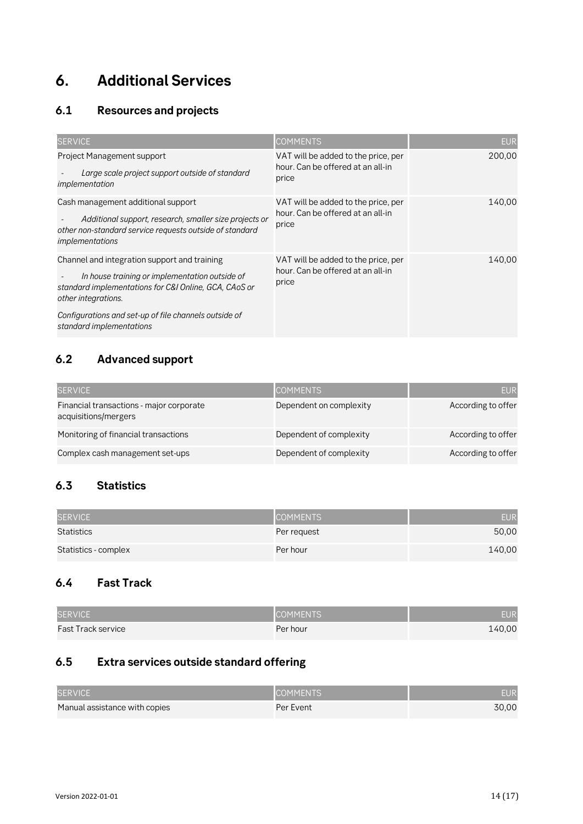## **6. Additional Services**

### **6.1 Resources and projects**

| <b>SERVICE</b>                                                                                                                                                                                                                                                      | <b>COMMENTS</b>                                                                   | <b>EUR</b> |
|---------------------------------------------------------------------------------------------------------------------------------------------------------------------------------------------------------------------------------------------------------------------|-----------------------------------------------------------------------------------|------------|
| <b>Project Management support</b><br>Large scale project support outside of standard<br>implementation                                                                                                                                                              | VAT will be added to the price, per<br>hour. Can be offered at an all-in<br>price | 200,00     |
| Cash management additional support<br>Additional support, research, smaller size projects or<br>other non-standard service requests outside of standard<br><i>implementations</i>                                                                                   | VAT will be added to the price, per<br>hour. Can be offered at an all-in<br>price | 140,00     |
| Channel and integration support and training<br>In house training or implementation outside of<br>standard implementations for C&I Online, GCA, CAoS or<br>other integrations.<br>Configurations and set-up of file channels outside of<br>standard implementations | VAT will be added to the price, per<br>hour. Can be offered at an all-in<br>price | 140.00     |

### **6.2 Advanced support**

| <b>SERVICE</b>                                                   | <b>COMMENTS</b>         | <b>EUR</b>         |
|------------------------------------------------------------------|-------------------------|--------------------|
| Financial transactions - major corporate<br>acquisitions/mergers | Dependent on complexity | According to offer |
| Monitoring of financial transactions                             | Dependent of complexity | According to offer |
| Complex cash management set-ups                                  | Dependent of complexity | According to offer |

### **6.3 Statistics**

| <b>SERVICE</b>       | <b>COMMENTS</b> | <b>EUR</b> |
|----------------------|-----------------|------------|
| Statistics           | Per request     | 50,00      |
| Statistics - complex | Per hour        | 140,00     |

### **6.4 Fast Track**

| <b>SERVICE</b>            | COMMENTS. | EUR    |
|---------------------------|-----------|--------|
| <b>Fast Track service</b> | Per hour  | 140,00 |

### **6.5 Extra services outside standard offering**

| <b>SERVICE</b>                | <b>COMMENTS</b> | EUR   |
|-------------------------------|-----------------|-------|
| Manual assistance with copies | Per Event       | 30.00 |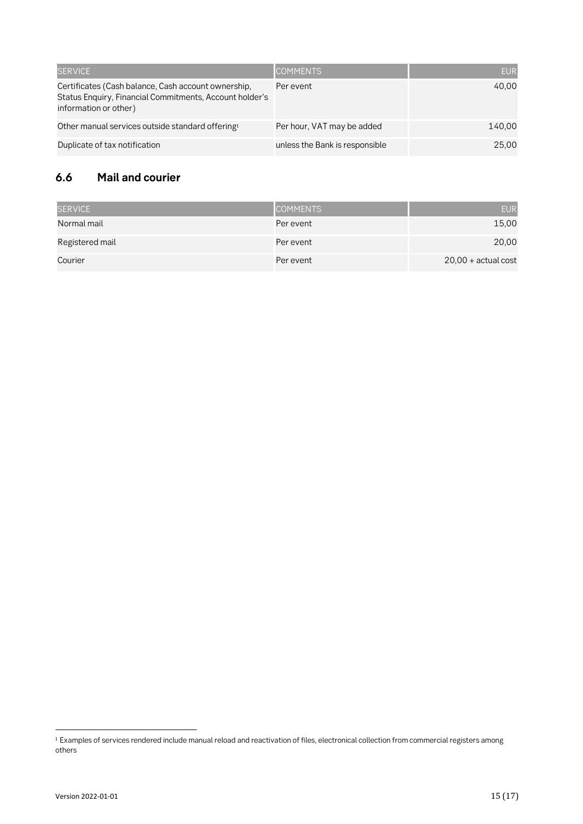| <b>SERVICE</b>                                                                                                                          | <b>COMMENTS</b>                | <b>EUR</b> |
|-----------------------------------------------------------------------------------------------------------------------------------------|--------------------------------|------------|
| Certificates (Cash balance, Cash account ownership,<br>Status Enquiry, Financial Commitments, Account holder's<br>information or other) | Per event                      | 40.00      |
| Other manual services outside standard offering <sup>1</sup>                                                                            | Per hour, VAT may be added     | 140.00     |
| Duplicate of tax notification                                                                                                           | unless the Bank is responsible | 25.00      |

### **6.6 Mail and courier**

| <b>SERVICE</b>  | <b>COMMENTS</b> | <b>EUR</b>            |
|-----------------|-----------------|-----------------------|
| Normal mail     | Per event       | 15,00                 |
| Registered mail | Per event       | 20,00                 |
| Courier         | Per event       | $20,00 + actual cost$ |

<sup>1</sup> Examples of services rendered include manual reload and reactivation of files, electronical collection from commercial registers among others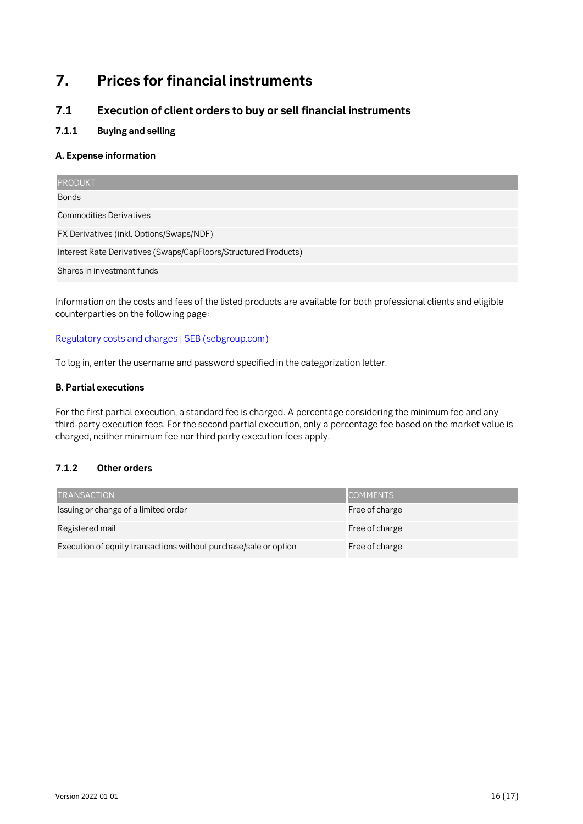## **7. Prices for financial instruments**

### **7.1 Execution of client orders to buy or sell financial instruments**

#### **7.1.1 Buying and selling**

#### **A. Expense information**

| <b>PRODUKT</b>                                                  |  |  |
|-----------------------------------------------------------------|--|--|
| <b>Bonds</b>                                                    |  |  |
| <b>Commodities Derivatives</b>                                  |  |  |
| FX Derivatives (inkl. Options/Swaps/NDF)                        |  |  |
| Interest Rate Derivatives (Swaps/CapFloors/Structured Products) |  |  |
| Shares in investment funds                                      |  |  |

Information on the costs and fees of the listed products are available for both professional clients and eligible counterparties on the following page:

[Regulatory costs and charges | SEB \(sebgroup.com\)](https://sebgroup.com/our-offering/markets-and-trading/regulatory-costs-and-charges)

To log in, enter the username and password specified in the categorization letter.

#### **B. Partial executions**

For the first partial execution, a standard fee is charged. A percentage considering the minimum fee and any third-party execution fees. For the second partial execution, only a percentage fee based on the market value is charged, neither minimum fee nor third party execution fees apply.

#### **7.1.2 Other orders**

| <b>TRANSACTION</b>                                               | <b>COMMENTS</b> |
|------------------------------------------------------------------|-----------------|
| Issuing or change of a limited order                             | Free of charge  |
| Registered mail                                                  | Free of charge  |
| Execution of equity transactions without purchase/sale or option | Free of charge  |